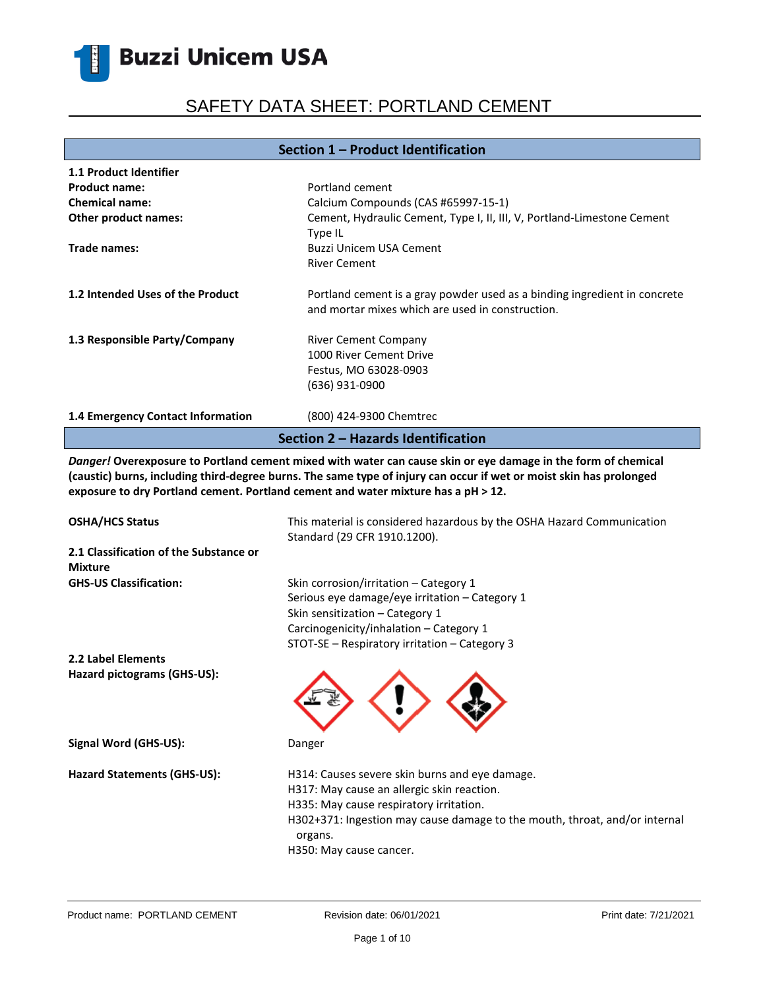# SAFETY DATA SHEET: PORTLAND CEMENT

### **Section 1 – Product Identification**

| 1.1 Product Identifier             |                                                                                                                               |  |
|------------------------------------|-------------------------------------------------------------------------------------------------------------------------------|--|
| <b>Product name:</b>               | Portland cement                                                                                                               |  |
| <b>Chemical name:</b>              | Calcium Compounds (CAS #65997-15-1)                                                                                           |  |
| Other product names:               | Cement, Hydraulic Cement, Type I, II, III, V, Portland-Limestone Cement<br>Type IL                                            |  |
| Trade names:                       | Buzzi Unicem USA Cement                                                                                                       |  |
|                                    | <b>River Cement</b>                                                                                                           |  |
| 1.2 Intended Uses of the Product   | Portland cement is a gray powder used as a binding ingredient in concrete<br>and mortar mixes which are used in construction. |  |
| 1.3 Responsible Party/Company      | <b>River Cement Company</b><br>1000 River Cement Drive<br>Festus, MO 63028-0903                                               |  |
| 1.4 Emergency Contact Information  | (636) 931-0900<br>(800) 424-9300 Chemtrec                                                                                     |  |
| Section 2 - Hazards Identification |                                                                                                                               |  |

*Danger!* **Overexposure to Portland cement mixed with water can cause skin or eye damage in the form of chemical (caustic) burns, including third-degree burns. The same type of injury can occur if wet or moist skin has prolonged exposure to dry Portland cement. Portland cement and water mixture has a pH ˃ 12.**

| <b>OSHA/HCS Status</b>                                   | This material is considered hazardous by the OSHA Hazard Communication<br>Standard (29 CFR 1910.1200).                                                                                                                                                      |
|----------------------------------------------------------|-------------------------------------------------------------------------------------------------------------------------------------------------------------------------------------------------------------------------------------------------------------|
| 2.1 Classification of the Substance or<br><b>Mixture</b> |                                                                                                                                                                                                                                                             |
| <b>GHS-US Classification:</b>                            | Skin corrosion/irritation – Category 1<br>Serious eye damage/eye irritation - Category 1<br>Skin sensitization – Category 1<br>Carcinogenicity/inhalation - Category 1<br>STOT-SE - Respiratory irritation - Category 3                                     |
| <b>2.2 Label Elements</b>                                |                                                                                                                                                                                                                                                             |
| Hazard pictograms (GHS-US):                              |                                                                                                                                                                                                                                                             |
| Signal Word (GHS-US):                                    | Danger                                                                                                                                                                                                                                                      |
| Hazard Statements (GHS-US):                              | H314: Causes severe skin burns and eye damage.<br>H317: May cause an allergic skin reaction.<br>H335: May cause respiratory irritation.<br>H302+371: Ingestion may cause damage to the mouth, throat, and/or internal<br>organs.<br>H350: May cause cancer. |
|                                                          |                                                                                                                                                                                                                                                             |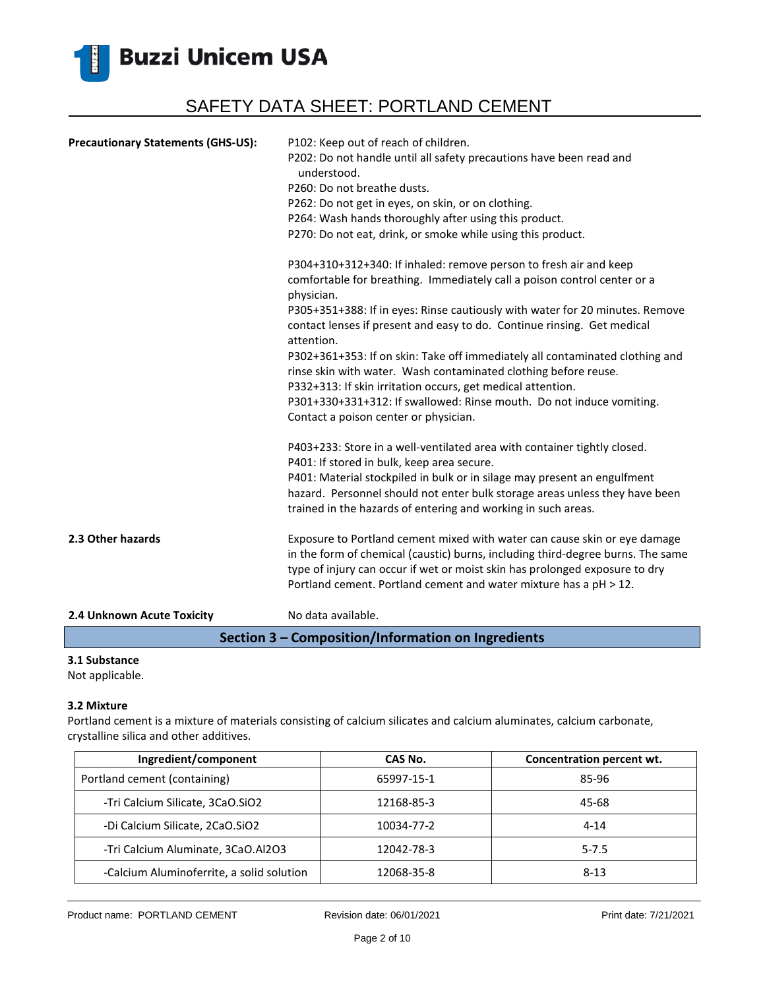

| <b>Precautionary Statements (GHS-US):</b> | P102: Keep out of reach of children.<br>P202: Do not handle until all safety precautions have been read and<br>understood.<br>P260: Do not breathe dusts.<br>P262: Do not get in eyes, on skin, or on clothing.<br>P264: Wash hands thoroughly after using this product.<br>P270: Do not eat, drink, or smoke while using this product.            |
|-------------------------------------------|----------------------------------------------------------------------------------------------------------------------------------------------------------------------------------------------------------------------------------------------------------------------------------------------------------------------------------------------------|
|                                           | P304+310+312+340: If inhaled: remove person to fresh air and keep<br>comfortable for breathing. Immediately call a poison control center or a<br>physician.<br>P305+351+388: If in eyes: Rinse cautiously with water for 20 minutes. Remove<br>contact lenses if present and easy to do. Continue rinsing. Get medical                             |
|                                           | attention.<br>P302+361+353: If on skin: Take off immediately all contaminated clothing and<br>rinse skin with water. Wash contaminated clothing before reuse.<br>P332+313: If skin irritation occurs, get medical attention.<br>P301+330+331+312: If swallowed: Rinse mouth. Do not induce vomiting.<br>Contact a poison center or physician.      |
|                                           | P403+233: Store in a well-ventilated area with container tightly closed.<br>P401: If stored in bulk, keep area secure.<br>P401: Material stockpiled in bulk or in silage may present an engulfment<br>hazard. Personnel should not enter bulk storage areas unless they have been<br>trained in the hazards of entering and working in such areas. |
| 2.3 Other hazards                         | Exposure to Portland cement mixed with water can cause skin or eye damage<br>in the form of chemical (caustic) burns, including third-degree burns. The same<br>type of injury can occur if wet or moist skin has prolonged exposure to dry<br>Portland cement. Portland cement and water mixture has a pH > 12.                                   |
| 2.4 Unknown Acute Toxicity                | No data available.                                                                                                                                                                                                                                                                                                                                 |

### **Section 3 – Composition/Information on Ingredients**

### **3.1 Substance**

Not applicable.

#### **3.2 Mixture**

Portland cement is a mixture of materials consisting of calcium silicates and calcium aluminates, calcium carbonate, crystalline silica and other additives.

| Ingredient/component                      | CAS No.    | Concentration percent wt. |
|-------------------------------------------|------------|---------------------------|
| Portland cement (containing)              | 65997-15-1 | 85-96                     |
| -Tri Calcium Silicate, 3CaO.SiO2          | 12168-85-3 | 45-68                     |
| -Di Calcium Silicate, 2CaO.SiO2           | 10034-77-2 | $4 - 14$                  |
| -Tri Calcium Aluminate, 3CaO.Al2O3        | 12042-78-3 | $5 - 7.5$                 |
| -Calcium Aluminoferrite, a solid solution | 12068-35-8 | $8 - 13$                  |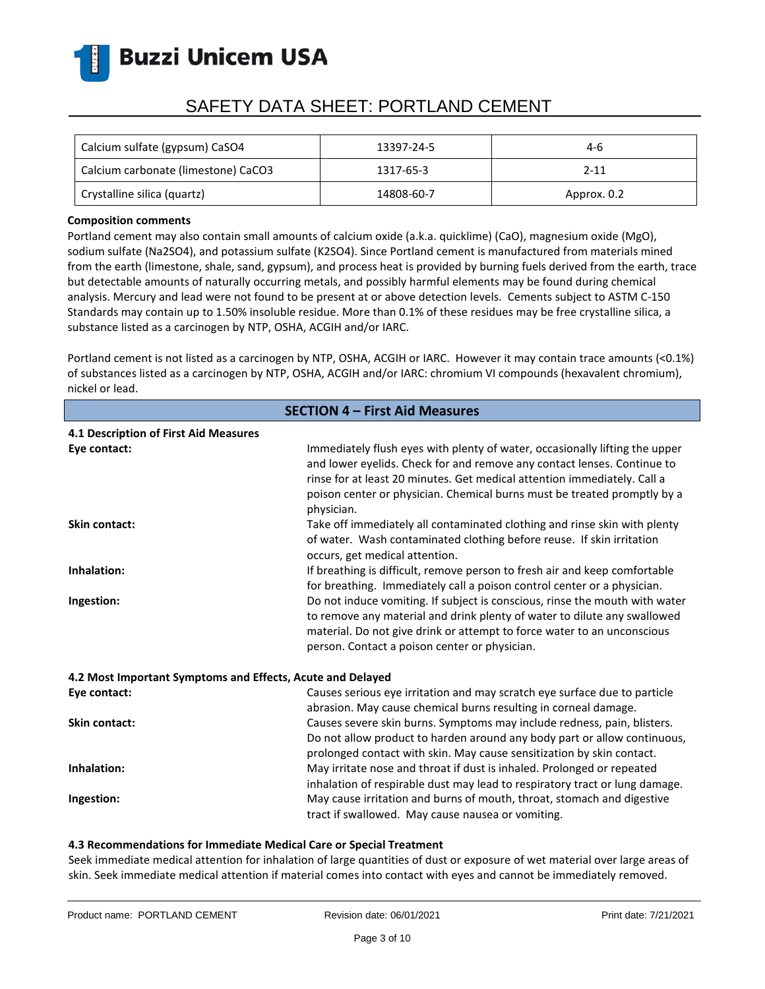

# SAFETY DATA SHEET: PORTLAND CEMENT

| Calcium sulfate (gypsum) CaSO4      | 13397-24-5 | 4-6         |
|-------------------------------------|------------|-------------|
| Calcium carbonate (limestone) CaCO3 | 1317-65-3  | $2 - 11$    |
| Crystalline silica (quartz)         | 14808-60-7 | Approx. 0.2 |

#### **Composition comments**

Portland cement may also contain small amounts of calcium oxide (a.k.a. quicklime) (CaO), magnesium oxide (MgO), sodium sulfate (Na2SO4), and potassium sulfate (K2SO4). Since Portland cement is manufactured from materials mined from the earth (limestone, shale, sand, gypsum), and process heat is provided by burning fuels derived from the earth, trace but detectable amounts of naturally occurring metals, and possibly harmful elements may be found during chemical analysis. Mercury and lead were not found to be present at or above detection levels. Cements subject to ASTM C-150 Standards may contain up to 1.50% insoluble residue. More than 0.1% of these residues may be free crystalline silica, a substance listed as a carcinogen by NTP, OSHA, ACGIH and/or IARC.

Portland cement is not listed as a carcinogen by NTP, OSHA, ACGIH or IARC. However it may contain trace amounts (<0.1%) of substances listed as a carcinogen by NTP, OSHA, ACGIH and/or IARC: chromium VI compounds (hexavalent chromium), nickel or lead.

| <b>SECTION 4 - First Aid Measures</b>                      |                                                                                                                                                                                                                                                                                                                              |  |
|------------------------------------------------------------|------------------------------------------------------------------------------------------------------------------------------------------------------------------------------------------------------------------------------------------------------------------------------------------------------------------------------|--|
| 4.1 Description of First Aid Measures                      |                                                                                                                                                                                                                                                                                                                              |  |
| Eye contact:                                               | Immediately flush eyes with plenty of water, occasionally lifting the upper<br>and lower eyelids. Check for and remove any contact lenses. Continue to<br>rinse for at least 20 minutes. Get medical attention immediately. Call a<br>poison center or physician. Chemical burns must be treated promptly by a<br>physician. |  |
| <b>Skin contact:</b>                                       | Take off immediately all contaminated clothing and rinse skin with plenty<br>of water. Wash contaminated clothing before reuse. If skin irritation<br>occurs, get medical attention.                                                                                                                                         |  |
| Inhalation:                                                | If breathing is difficult, remove person to fresh air and keep comfortable<br>for breathing. Immediately call a poison control center or a physician.                                                                                                                                                                        |  |
| Ingestion:                                                 | Do not induce vomiting. If subject is conscious, rinse the mouth with water<br>to remove any material and drink plenty of water to dilute any swallowed<br>material. Do not give drink or attempt to force water to an unconscious<br>person. Contact a poison center or physician.                                          |  |
| 4.2 Most Important Symptoms and Effects, Acute and Delayed |                                                                                                                                                                                                                                                                                                                              |  |
| Eye contact:                                               | Causes serious eye irritation and may scratch eye surface due to particle<br>abrasion. May cause chemical burns resulting in corneal damage.                                                                                                                                                                                 |  |
| <b>Skin contact:</b>                                       | Causes severe skin burns. Symptoms may include redness, pain, blisters.<br>Do not allow product to harden around any body part or allow continuous,<br>prolonged contact with skin. May cause sensitization by skin contact.                                                                                                 |  |
| Inhalation:                                                | May irritate nose and throat if dust is inhaled. Prolonged or repeated<br>inhalation of respirable dust may lead to respiratory tract or lung damage.                                                                                                                                                                        |  |
| Ingestion:                                                 | May cause irritation and burns of mouth, throat, stomach and digestive<br>tract if swallowed. May cause nausea or vomiting.                                                                                                                                                                                                  |  |

### **4.3 Recommendations for Immediate Medical Care or Special Treatment**

Seek immediate medical attention for inhalation of large quantities of dust or exposure of wet material over large areas of skin. Seek immediate medical attention if material comes into contact with eyes and cannot be immediately removed.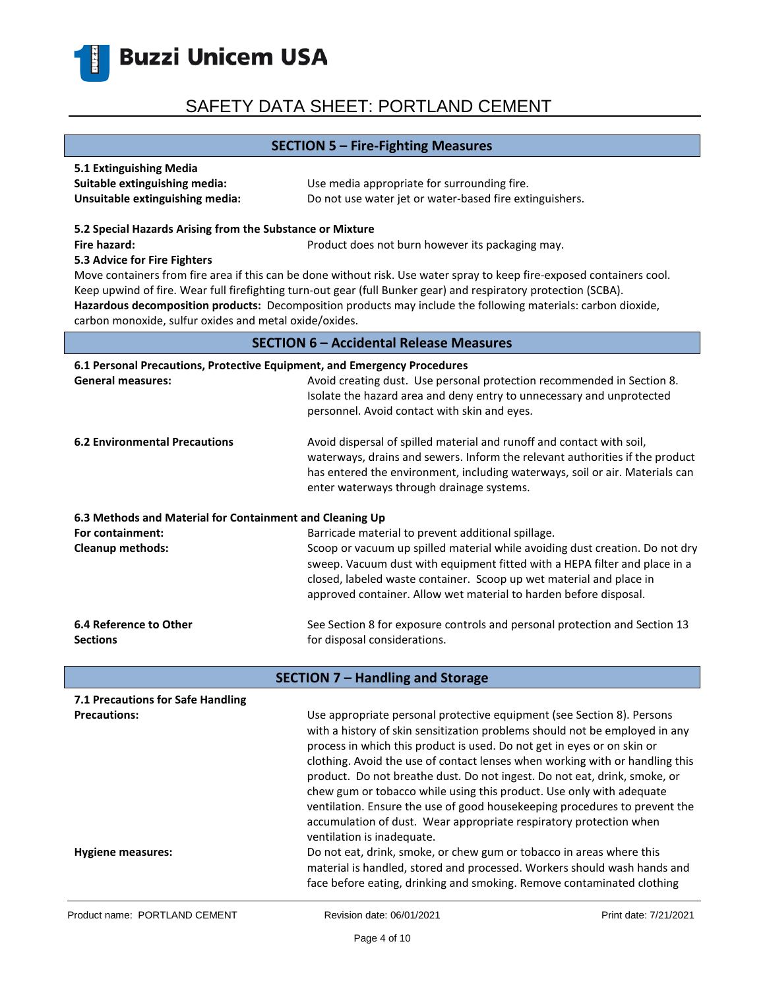

### **SECTION 5 – Fire-Fighting Measures**

| 5.1 Extinguishing Media         |                                                         |
|---------------------------------|---------------------------------------------------------|
| Suitable extinguishing media:   | Use media appropriate for surrounding fire.             |
| Unsuitable extinguishing media: | Do not use water jet or water-based fire extinguishers. |

#### **5.2 Special Hazards Arising from the Substance or Mixture**

**Fire hazard: Product does not burn however its packaging may.** Product does not burn however its packaging may.

#### **5.3 Advice for Fire Fighters**

Move containers from fire area if this can be done without risk. Use water spray to keep fire-exposed containers cool. Keep upwind of fire. Wear full firefighting turn-out gear (full Bunker gear) and respiratory protection (SCBA). **Hazardous decomposition products:** Decomposition products may include the following materials: carbon dioxide, carbon monoxide, sulfur oxides and metal oxide/oxides.

### **SECTION 6 – Accidental Release Measures**

| 6.1 Personal Precautions, Protective Equipment, and Emergency Procedures |                                                                                                                                                                                                                                                                                    |  |
|--------------------------------------------------------------------------|------------------------------------------------------------------------------------------------------------------------------------------------------------------------------------------------------------------------------------------------------------------------------------|--|
| <b>General measures:</b>                                                 | Avoid creating dust. Use personal protection recommended in Section 8.<br>Isolate the hazard area and deny entry to unnecessary and unprotected<br>personnel. Avoid contact with skin and eyes.                                                                                    |  |
| <b>6.2 Environmental Precautions</b>                                     | Avoid dispersal of spilled material and runoff and contact with soil,<br>waterways, drains and sewers. Inform the relevant authorities if the product<br>has entered the environment, including waterways, soil or air. Materials can<br>enter waterways through drainage systems. |  |
| 6.3 Methods and Material for Containment and Cleaning Up                 |                                                                                                                                                                                                                                                                                    |  |
| For containment:                                                         | Barricade material to prevent additional spillage.                                                                                                                                                                                                                                 |  |
| <b>Cleanup methods:</b>                                                  | Scoop or vacuum up spilled material while avoiding dust creation. Do not dry                                                                                                                                                                                                       |  |
|                                                                          | sweep. Vacuum dust with equipment fitted with a HEPA filter and place in a                                                                                                                                                                                                         |  |
|                                                                          | closed, labeled waste container. Scoop up wet material and place in                                                                                                                                                                                                                |  |
|                                                                          | approved container. Allow wet material to harden before disposal.                                                                                                                                                                                                                  |  |
| 6.4 Reference to Other                                                   | See Section 8 for exposure controls and personal protection and Section 13                                                                                                                                                                                                         |  |
| <b>Sections</b>                                                          | for disposal considerations.                                                                                                                                                                                                                                                       |  |
| <b>SECTION 7 - Handling and Storage</b>                                  |                                                                                                                                                                                                                                                                                    |  |
| 7.1 Precautions for Safe Handling                                        |                                                                                                                                                                                                                                                                                    |  |
| <b>Precautions:</b>                                                      | Use appropriate personal protective equipment (see Section 8). Persons                                                                                                                                                                                                             |  |
|                                                                          | with a history of skin sensitization problems should not be employed in any                                                                                                                                                                                                        |  |
|                                                                          | process in which this product is used. Do not get in eyes or on skin or                                                                                                                                                                                                            |  |
|                                                                          | clothing. Avoid the use of contact lenses when working with or handling this                                                                                                                                                                                                       |  |
|                                                                          | product. Do not breathe dust. Do not ingest. Do not eat, drink, smoke, or                                                                                                                                                                                                          |  |
|                                                                          | chew gum or tobacco while using this product. Use only with adequate                                                                                                                                                                                                               |  |
|                                                                          | ventilation. Ensure the use of good housekeeping procedures to prevent the                                                                                                                                                                                                         |  |

**Hygiene measures:** Do not eat, drink, smoke, or chew gum or tobacco in areas where this

ventilation is inadequate.

accumulation of dust. Wear appropriate respiratory protection when

material is handled, stored and processed. Workers should wash hands and face before eating, drinking and smoking. Remove contaminated clothing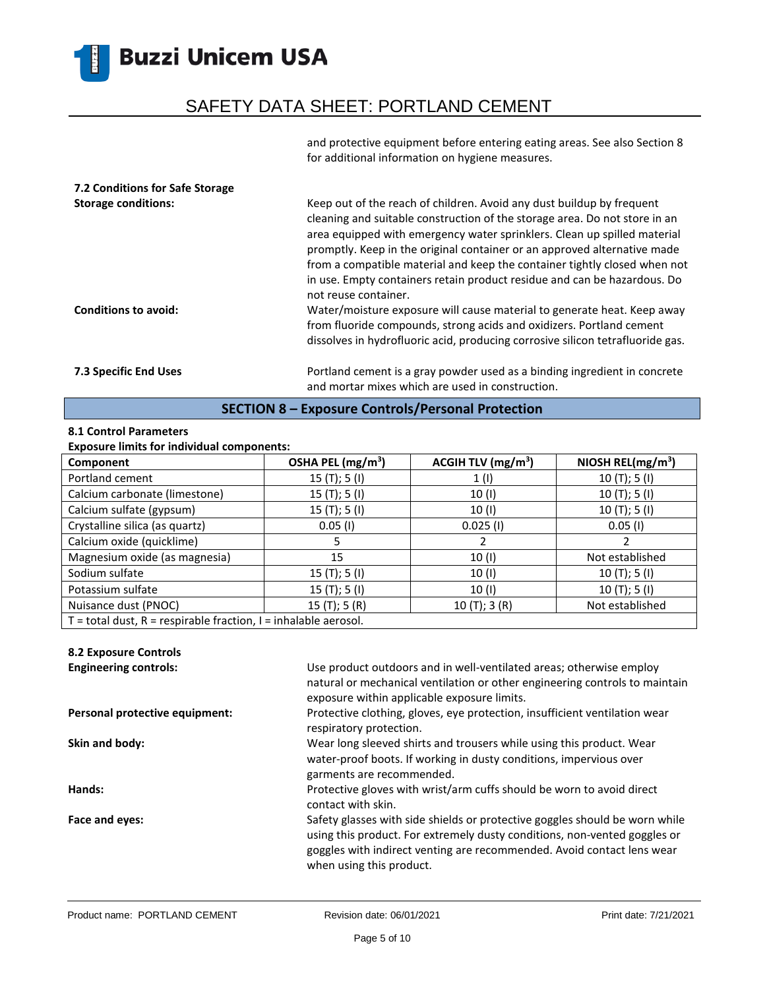## SAFETY DATA SHEET: PORTLAND CEMENT

and protective equipment before entering eating areas. See also Section 8 for additional information on hygiene measures.

| 7.2 Conditions for Safe Storage<br><b>Storage conditions:</b><br><b>Conditions to avoid:</b> | Keep out of the reach of children. Avoid any dust buildup by frequent<br>cleaning and suitable construction of the storage area. Do not store in an<br>area equipped with emergency water sprinklers. Clean up spilled material<br>promptly. Keep in the original container or an approved alternative made<br>from a compatible material and keep the container tightly closed when not<br>in use. Empty containers retain product residue and can be hazardous. Do<br>not reuse container.<br>Water/moisture exposure will cause material to generate heat. Keep away |
|----------------------------------------------------------------------------------------------|-------------------------------------------------------------------------------------------------------------------------------------------------------------------------------------------------------------------------------------------------------------------------------------------------------------------------------------------------------------------------------------------------------------------------------------------------------------------------------------------------------------------------------------------------------------------------|
|                                                                                              | from fluoride compounds, strong acids and oxidizers. Portland cement<br>dissolves in hydrofluoric acid, producing corrosive silicon tetrafluoride gas.                                                                                                                                                                                                                                                                                                                                                                                                                  |
| <b>7.3 Specific End Uses</b>                                                                 | Portland cement is a gray powder used as a binding ingredient in concrete<br>and mortar mixes which are used in construction.                                                                                                                                                                                                                                                                                                                                                                                                                                           |

### **SECTION 8 – Exposure Controls/Personal Protection**

### **8.1 Control Parameters**

### **Exposure limits for individual components:**

| Component                                                             | OSHA PEL (mg/m <sup>3</sup> ) | ACGIH TLV $(mg/m3)$ | NIOSH REL( $mg/m3$ ) |
|-----------------------------------------------------------------------|-------------------------------|---------------------|----------------------|
| Portland cement                                                       | 15(T); 5(I)                   | 1(1)                | 10(T); 5(I)          |
| Calcium carbonate (limestone)                                         | 15(T); 5(I)                   | 10 (I)              | 10(T); 5(I)          |
| Calcium sulfate (gypsum)                                              | 15(T); 5(I)                   | 10 (I)              | 10(T); 5(I)          |
| Crystalline silica (as quartz)                                        | $0.05$ (I)                    | $0.025$ (1)         | $0.05$ (I)           |
| Calcium oxide (quicklime)                                             |                               |                     |                      |
| Magnesium oxide (as magnesia)                                         | 15                            | 10(1)               | Not established      |
| Sodium sulfate                                                        | 15(T); 5(I)                   | 10(1)               | 10(T); 5(I)          |
| Potassium sulfate                                                     | 15(T); 5(I)                   | 10 (I)              | 10(T); 5(I)          |
| Nuisance dust (PNOC)                                                  | 15(T); 5(R)                   | 10(T); 3(R)         | Not established      |
| $T =$ total dust, $R =$ respirable fraction, $I =$ inhalable aerosol. |                               |                     |                      |

### **8.2 Exposure Controls**

| <b>Engineering controls:</b>   | Use product outdoors and in well-ventilated areas; otherwise employ<br>natural or mechanical ventilation or other engineering controls to maintain<br>exposure within applicable exposure limits.                                                              |
|--------------------------------|----------------------------------------------------------------------------------------------------------------------------------------------------------------------------------------------------------------------------------------------------------------|
| Personal protective equipment: | Protective clothing, gloves, eye protection, insufficient ventilation wear<br>respiratory protection.                                                                                                                                                          |
| Skin and body:                 | Wear long sleeved shirts and trousers while using this product. Wear<br>water-proof boots. If working in dusty conditions, impervious over<br>garments are recommended.                                                                                        |
| Hands:                         | Protective gloves with wrist/arm cuffs should be worn to avoid direct<br>contact with skin.                                                                                                                                                                    |
| Face and eyes:                 | Safety glasses with side shields or protective goggles should be worn while<br>using this product. For extremely dusty conditions, non-vented goggles or<br>goggles with indirect venting are recommended. Avoid contact lens wear<br>when using this product. |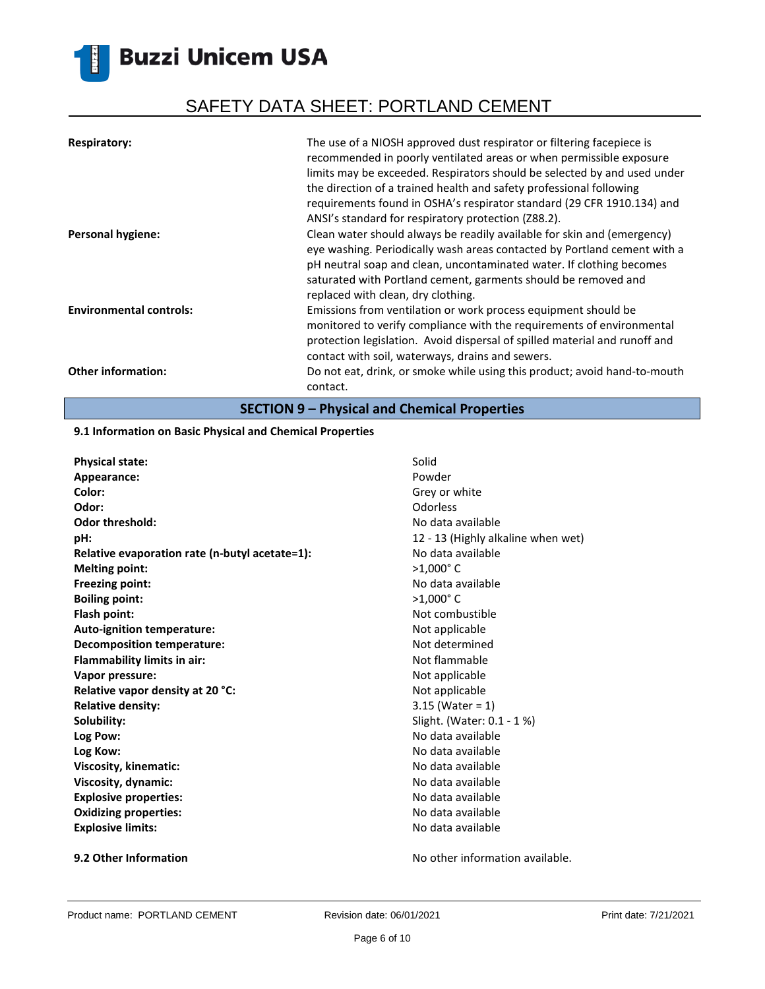# SAFETY DATA SHEET: PORTLAND CEMENT

| <b>Respiratory:</b>            | The use of a NIOSH approved dust respirator or filtering facepiece is<br>recommended in poorly ventilated areas or when permissible exposure<br>limits may be exceeded. Respirators should be selected by and used under<br>the direction of a trained health and safety professional following<br>requirements found in OSHA's respirator standard (29 CFR 1910.134) and<br>ANSI's standard for respiratory protection (Z88.2). |
|--------------------------------|----------------------------------------------------------------------------------------------------------------------------------------------------------------------------------------------------------------------------------------------------------------------------------------------------------------------------------------------------------------------------------------------------------------------------------|
| <b>Personal hygiene:</b>       | Clean water should always be readily available for skin and (emergency)<br>eye washing. Periodically wash areas contacted by Portland cement with a<br>pH neutral soap and clean, uncontaminated water. If clothing becomes<br>saturated with Portland cement, garments should be removed and<br>replaced with clean, dry clothing.                                                                                              |
| <b>Environmental controls:</b> | Emissions from ventilation or work process equipment should be<br>monitored to verify compliance with the requirements of environmental<br>protection legislation. Avoid dispersal of spilled material and runoff and<br>contact with soil, waterways, drains and sewers.                                                                                                                                                        |
| <b>Other information:</b>      | Do not eat, drink, or smoke while using this product; avoid hand-to-mouth<br>contact.                                                                                                                                                                                                                                                                                                                                            |

**SECTION 9 – Physical and Chemical Properties**

### **9.1 Information on Basic Physical and Chemical Properties**

| <b>Physical state:</b>                         | Solid                              |
|------------------------------------------------|------------------------------------|
| Appearance:                                    | Powder                             |
| Color:                                         | Grey or white                      |
| Odor:                                          | Odorless                           |
| <b>Odor threshold:</b>                         | No data available                  |
| pH:                                            | 12 - 13 (Highly alkaline when wet) |
| Relative evaporation rate (n-butyl acetate=1): | No data available                  |
| <b>Melting point:</b>                          | $>1,000$ °C                        |
| <b>Freezing point:</b>                         | No data available                  |
| <b>Boiling point:</b>                          | $>1,000$ °C                        |
| Flash point:                                   | Not combustible                    |
| Auto-ignition temperature:                     | Not applicable                     |
| <b>Decomposition temperature:</b>              | Not determined                     |
| <b>Flammability limits in air:</b>             | Not flammable                      |
| Vapor pressure:                                | Not applicable                     |
| Relative vapor density at 20 °C:               | Not applicable                     |
| <b>Relative density:</b>                       | $3.15$ (Water = 1)                 |
| Solubility:                                    | Slight. (Water: 0.1 - 1 %)         |
| Log Pow:                                       | No data available                  |
| Log Kow:                                       | No data available                  |
| Viscosity, kinematic:                          | No data available                  |
| Viscosity, dynamic:                            | No data available                  |
| <b>Explosive properties:</b>                   | No data available                  |
| <b>Oxidizing properties:</b>                   | No data available                  |
| <b>Explosive limits:</b>                       | No data available                  |
|                                                |                                    |

**9.2 Other Information 19.2 Other Information No other information available.**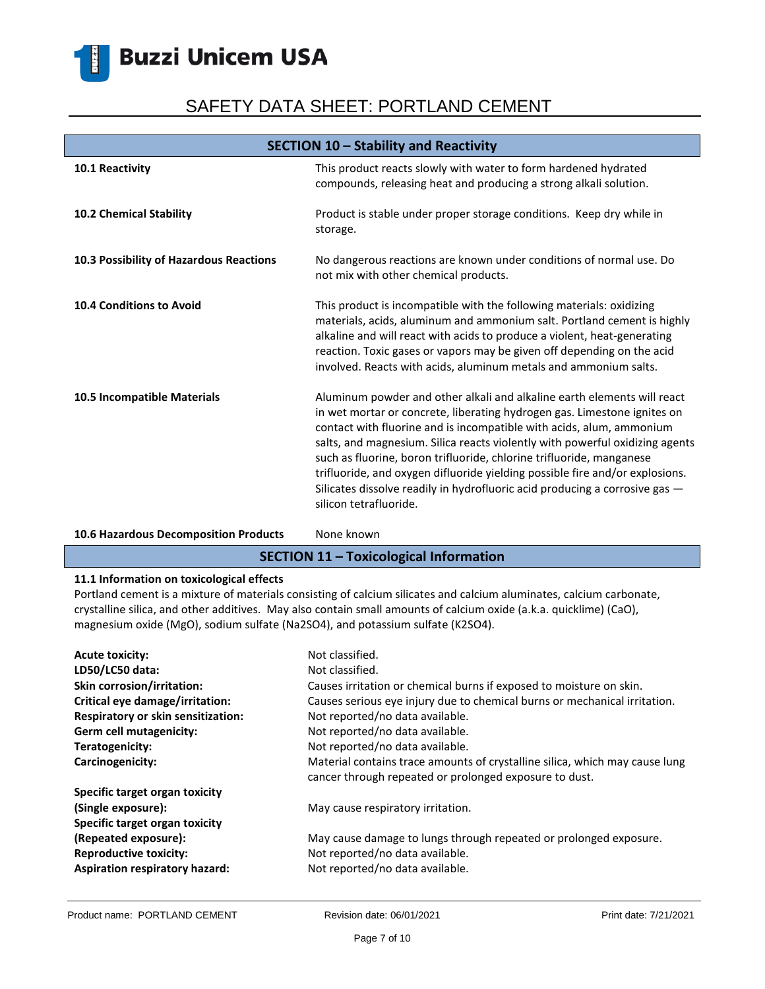# SAFETY DATA SHEET: PORTLAND CEMENT

| SECTION 10 - Stability and Reactivity   |                                                                                                                                                                                                                                                                                                                                                                                                                                                                                                                                                                              |
|-----------------------------------------|------------------------------------------------------------------------------------------------------------------------------------------------------------------------------------------------------------------------------------------------------------------------------------------------------------------------------------------------------------------------------------------------------------------------------------------------------------------------------------------------------------------------------------------------------------------------------|
| 10.1 Reactivity                         | This product reacts slowly with water to form hardened hydrated<br>compounds, releasing heat and producing a strong alkali solution.                                                                                                                                                                                                                                                                                                                                                                                                                                         |
| 10.2 Chemical Stability                 | Product is stable under proper storage conditions. Keep dry while in<br>storage.                                                                                                                                                                                                                                                                                                                                                                                                                                                                                             |
| 10.3 Possibility of Hazardous Reactions | No dangerous reactions are known under conditions of normal use. Do<br>not mix with other chemical products.                                                                                                                                                                                                                                                                                                                                                                                                                                                                 |
| 10.4 Conditions to Avoid                | This product is incompatible with the following materials: oxidizing<br>materials, acids, aluminum and ammonium salt. Portland cement is highly<br>alkaline and will react with acids to produce a violent, heat-generating<br>reaction. Toxic gases or vapors may be given off depending on the acid<br>involved. Reacts with acids, aluminum metals and ammonium salts.                                                                                                                                                                                                    |
| 10.5 Incompatible Materials             | Aluminum powder and other alkali and alkaline earth elements will react<br>in wet mortar or concrete, liberating hydrogen gas. Limestone ignites on<br>contact with fluorine and is incompatible with acids, alum, ammonium<br>salts, and magnesium. Silica reacts violently with powerful oxidizing agents<br>such as fluorine, boron trifluoride, chlorine trifluoride, manganese<br>trifluoride, and oxygen difluoride yielding possible fire and/or explosions.<br>Silicates dissolve readily in hydrofluoric acid producing a corrosive gas -<br>silicon tetrafluoride. |

### 10.6 Hazardous Decomposition Products None known

### **SECTION 11 – Toxicological Information**

### **11.1 Information on toxicological effects**

Portland cement is a mixture of materials consisting of calcium silicates and calcium aluminates, calcium carbonate, crystalline silica, and other additives. May also contain small amounts of calcium oxide (a.k.a. quicklime) (CaO), magnesium oxide (MgO), sodium sulfate (Na2SO4), and potassium sulfate (K2SO4).

| <b>Acute toxicity:</b>                | Not classified.                                                                                                                       |
|---------------------------------------|---------------------------------------------------------------------------------------------------------------------------------------|
| LD50/LC50 data:                       | Not classified.                                                                                                                       |
| <b>Skin corrosion/irritation:</b>     | Causes irritation or chemical burns if exposed to moisture on skin.                                                                   |
| Critical eye damage/irritation:       | Causes serious eye injury due to chemical burns or mechanical irritation.                                                             |
| Respiratory or skin sensitization:    | Not reported/no data available.                                                                                                       |
| Germ cell mutagenicity:               | Not reported/no data available.                                                                                                       |
| Teratogenicity:                       | Not reported/no data available.                                                                                                       |
| Carcinogenicity:                      | Material contains trace amounts of crystalline silica, which may cause lung<br>cancer through repeated or prolonged exposure to dust. |
| Specific target organ toxicity        |                                                                                                                                       |
| (Single exposure):                    | May cause respiratory irritation.                                                                                                     |
| Specific target organ toxicity        |                                                                                                                                       |
| (Repeated exposure):                  | May cause damage to lungs through repeated or prolonged exposure.                                                                     |
| <b>Reproductive toxicity:</b>         | Not reported/no data available.                                                                                                       |
| <b>Aspiration respiratory hazard:</b> | Not reported/no data available.                                                                                                       |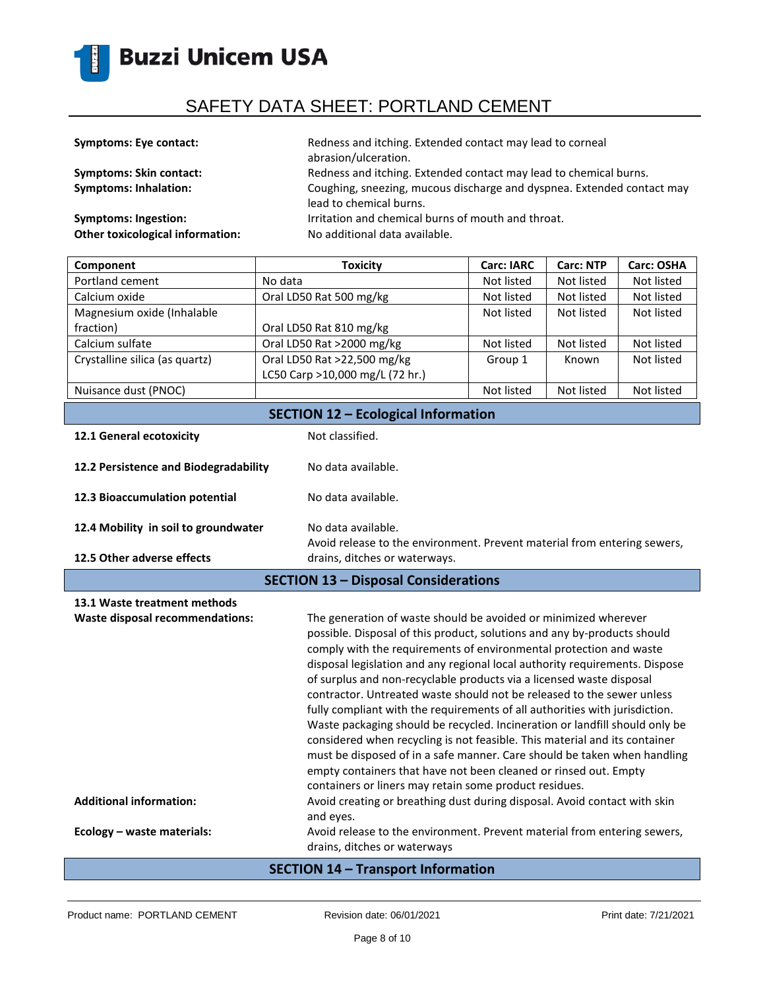

| <b>Symptoms: Eye contact:</b>           | Redness and itching. Extended contact may lead to corneal<br>abrasion/ulceration.                 |
|-----------------------------------------|---------------------------------------------------------------------------------------------------|
| <b>Symptoms: Skin contact:</b>          | Redness and itching. Extended contact may lead to chemical burns.                                 |
| <b>Symptoms: Inhalation:</b>            | Coughing, sneezing, mucous discharge and dyspnea. Extended contact may<br>lead to chemical burns. |
| <b>Symptoms: Ingestion:</b>             | Irritation and chemical burns of mouth and throat.                                                |
| <b>Other toxicological information:</b> | No additional data available.                                                                     |

| Component                                  | <b>Toxicity</b>                 | <b>Carc: IARC</b> | <b>Carc: NTP</b> | <b>Carc: OSHA</b> |
|--------------------------------------------|---------------------------------|-------------------|------------------|-------------------|
| Portland cement                            | No data                         | Not listed        | Not listed       | Not listed        |
| Calcium oxide                              | Oral LD50 Rat 500 mg/kg         | Not listed        | Not listed       | Not listed        |
| Magnesium oxide (Inhalable                 |                                 | Not listed        | Not listed       | Not listed        |
| fraction)                                  | Oral LD50 Rat 810 mg/kg         |                   |                  |                   |
| Calcium sulfate                            | Oral LD50 Rat >2000 mg/kg       | Not listed        | Not listed       | Not listed        |
| Crystalline silica (as quartz)             | Oral LD50 Rat >22,500 mg/kg     | Group 1           | Known            | Not listed        |
|                                            | LC50 Carp >10,000 mg/L (72 hr.) |                   |                  |                   |
| Nuisance dust (PNOC)                       |                                 | Not listed        | Not listed       | Not listed        |
| <b>SECTION 12 - Ecological Information</b> |                                 |                   |                  |                   |

| 12.1 General ecotoxicity                    | Not classified.                                                                                |
|---------------------------------------------|------------------------------------------------------------------------------------------------|
| 12.2 Persistence and Biodegradability       | No data available.                                                                             |
| 12.3 Bioaccumulation potential              | No data available.                                                                             |
| 12.4 Mobility in soil to groundwater        | No data available.<br>Avoid release to the environment. Prevent material from entering sewers, |
| 12.5 Other adverse effects                  | drains, ditches or waterways.                                                                  |
| <b>SECTION 13 - Disposal Considerations</b> |                                                                                                |

| 13.1 Waste treatment methods<br>Waste disposal recommendations: | The generation of waste should be avoided or minimized wherever<br>possible. Disposal of this product, solutions and any by-products should<br>comply with the requirements of environmental protection and waste<br>disposal legislation and any regional local authority requirements. Dispose<br>of surplus and non-recyclable products via a licensed waste disposal<br>contractor. Untreated waste should not be released to the sewer unless<br>fully compliant with the requirements of all authorities with jurisdiction.<br>Waste packaging should be recycled. Incineration or landfill should only be<br>considered when recycling is not feasible. This material and its container<br>must be disposed of in a safe manner. Care should be taken when handling<br>empty containers that have not been cleaned or rinsed out. Empty<br>containers or liners may retain some product residues. |
|-----------------------------------------------------------------|----------------------------------------------------------------------------------------------------------------------------------------------------------------------------------------------------------------------------------------------------------------------------------------------------------------------------------------------------------------------------------------------------------------------------------------------------------------------------------------------------------------------------------------------------------------------------------------------------------------------------------------------------------------------------------------------------------------------------------------------------------------------------------------------------------------------------------------------------------------------------------------------------------|
| <b>Additional information:</b>                                  | Avoid creating or breathing dust during disposal. Avoid contact with skin<br>and eyes.                                                                                                                                                                                                                                                                                                                                                                                                                                                                                                                                                                                                                                                                                                                                                                                                                   |
| Ecology - waste materials:                                      | Avoid release to the environment. Prevent material from entering sewers,<br>drains, ditches or waterways                                                                                                                                                                                                                                                                                                                                                                                                                                                                                                                                                                                                                                                                                                                                                                                                 |

### **SECTION 14 – Transport Information**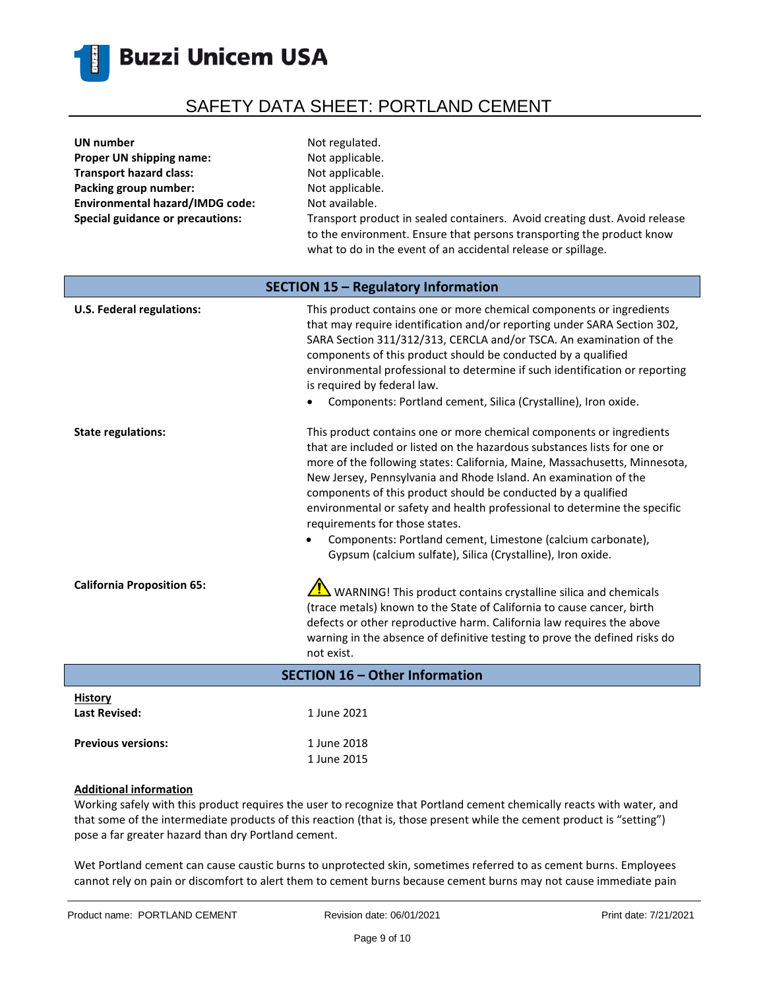

| UN number                               | Not regulated.                                                                                                                                                                                                       |
|-----------------------------------------|----------------------------------------------------------------------------------------------------------------------------------------------------------------------------------------------------------------------|
| Proper UN shipping name:                | Not applicable.                                                                                                                                                                                                      |
| <b>Transport hazard class:</b>          | Not applicable.                                                                                                                                                                                                      |
| Packing group number:                   | Not applicable.                                                                                                                                                                                                      |
| <b>Environmental hazard/IMDG code:</b>  | Not available.                                                                                                                                                                                                       |
| <b>Special guidance or precautions:</b> | Transport product in sealed containers. Avoid creating dust. Avoid release<br>to the environment. Ensure that persons transporting the product know<br>what to do in the event of an accidental release or spillage. |
| SECTION 15 - Regulatory Information     |                                                                                                                                                                                                                      |

| <b>U.S. Federal regulations:</b>       | This product contains one or more chemical components or ingredients<br>that may require identification and/or reporting under SARA Section 302,<br>SARA Section 311/312/313, CERCLA and/or TSCA. An examination of the<br>components of this product should be conducted by a qualified<br>environmental professional to determine if such identification or reporting<br>is required by federal law.<br>Components: Portland cement, Silica (Crystalline), Iron oxide.                                                                                                                                         |
|----------------------------------------|------------------------------------------------------------------------------------------------------------------------------------------------------------------------------------------------------------------------------------------------------------------------------------------------------------------------------------------------------------------------------------------------------------------------------------------------------------------------------------------------------------------------------------------------------------------------------------------------------------------|
| <b>State regulations:</b>              | This product contains one or more chemical components or ingredients<br>that are included or listed on the hazardous substances lists for one or<br>more of the following states: California, Maine, Massachusetts, Minnesota,<br>New Jersey, Pennsylvania and Rhode Island. An examination of the<br>components of this product should be conducted by a qualified<br>environmental or safety and health professional to determine the specific<br>requirements for those states.<br>Components: Portland cement, Limestone (calcium carbonate),<br>Gypsum (calcium sulfate), Silica (Crystalline), Iron oxide. |
| <b>California Proposition 65:</b>      | WARNING! This product contains crystalline silica and chemicals<br>(trace metals) known to the State of California to cause cancer, birth<br>defects or other reproductive harm. California law requires the above<br>warning in the absence of definitive testing to prove the defined risks do<br>not exist.                                                                                                                                                                                                                                                                                                   |
| <b>SECTION 16 - Other Information</b>  |                                                                                                                                                                                                                                                                                                                                                                                                                                                                                                                                                                                                                  |
| <b>History</b><br><b>Last Revised:</b> | 1 June 2021                                                                                                                                                                                                                                                                                                                                                                                                                                                                                                                                                                                                      |

### **Additional information**

Previous versions: 1 June 2018

Working safely with this product requires the user to recognize that Portland cement chemically reacts with water, and that some of the intermediate products of this reaction (that is, those present while the cement product is "setting") pose a far greater hazard than dry Portland cement.

1 June 2015

Wet Portland cement can cause caustic burns to unprotected skin, sometimes referred to as cement burns. Employees cannot rely on pain or discomfort to alert them to cement burns because cement burns may not cause immediate pain